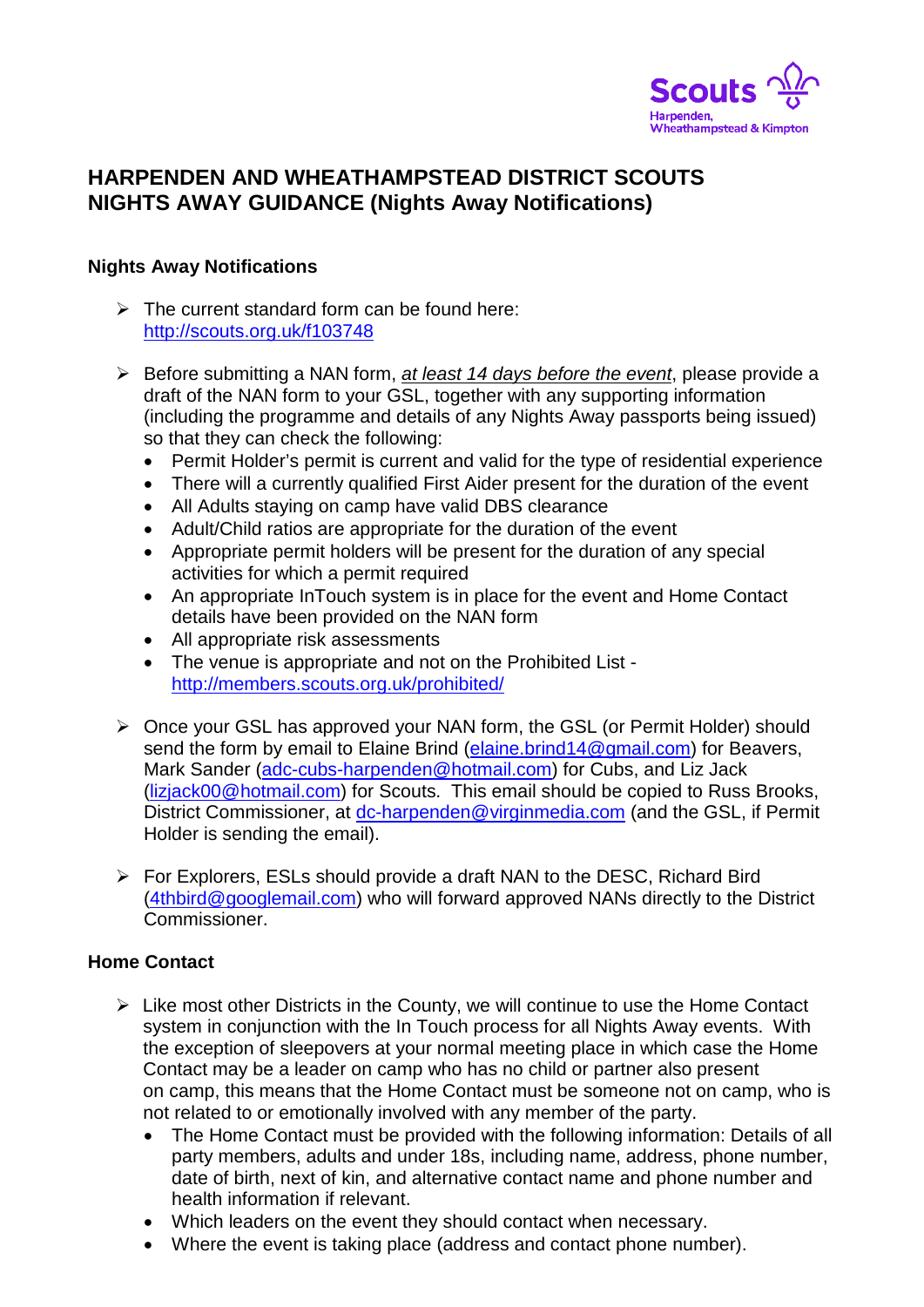

## **HARPENDEN AND WHEATHAMPSTEAD DISTRICT SCOUTS NIGHTS AWAY GUIDANCE (Nights Away Notifications)**

## **Nights Away Notifications**

- $\triangleright$  The current standard form can be found here: <http://scouts.org.uk/f103748>
- Before submitting a NAN form, *at least 14 days before the event*, please provide a draft of the NAN form to your GSL, together with any supporting information (including the programme and details of any Nights Away passports being issued) so that they can check the following:
	- Permit Holder's permit is current and valid for the type of residential experience
	- There will a currently qualified First Aider present for the duration of the event
	- All Adults staying on camp have valid DBS clearance
	- Adult/Child ratios are appropriate for the duration of the event
	- Appropriate permit holders will be present for the duration of any special activities for which a permit required
	- An appropriate InTouch system is in place for the event and Home Contact details have been provided on the NAN form
	- All appropriate risk assessments
	- The venue is appropriate and not on the Prohibited List <http://members.scouts.org.uk/prohibited/>
- Once your GSL has approved your NAN form, the GSL (or Permit Holder) should send the form by email to Elaine Brind [\(elaine.brind14@gmail.com\)](mailto:elaine.brind14@gmail.com) for Beavers, Mark Sander [\(adc-cubs-harpenden@hotmail.com\)](mailto:adc-cubs-harpenden@hotmail.com) for Cubs, and Liz Jack [\(lizjack00@hotmail.com\)](mailto:lizjack00@hotmail.com) for Scouts. This email should be copied to Russ Brooks, District Commissioner, at [dc-harpenden@virginmedia.com](mailto:dc-harpenden@virginmedia.com) (and the GSL, if Permit Holder is sending the email).
- $\triangleright$  For Explorers, ESLs should provide a draft NAN to the DESC, Richard Bird [\(4thbird@googlemail.com\)](mailto:4thbird@googlemail.com) who will forward approved NANs directly to the District Commissioner.

## **Home Contact**

- $\triangleright$  Like most other Districts in the County, we will continue to use the Home Contact system in conjunction with the In Touch process for all Nights Away events. With the exception of sleepovers at your normal meeting place in which case the Home Contact may be a leader on camp who has no child or partner also present on camp, this means that the Home Contact must be someone not on camp, who is not related to or emotionally involved with any member of the party.
	- The Home Contact must be provided with the following information: Details of all party members, adults and under 18s, including name, address, phone number, date of birth, next of kin, and alternative contact name and phone number and health information if relevant.
	- Which leaders on the event they should contact when necessary.
	- Where the event is taking place (address and contact phone number).